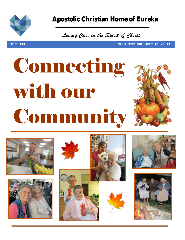

September 2019

### Apostolic Christian Home of Eureka

 *Loving Care in the Spirit of Christ*

**ISSUE 009 NEWS FROM OUR HOME TO YOURS** 

# Connecting with our **Community**











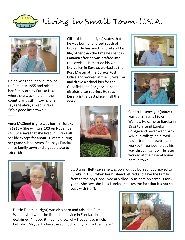Living in Small Town U.S.A.



Helen Wiegand (above) moved to Eureka in 1955 and raised her family out by Eureka Lake where she was kind of in the country and still in town. She says she always liked Eureka, "It's a good little town."

Clifford Lehman (right) states that he was born and raised south of Cruger. He has lived in Eureka all his life, other than the time he spent in Panama after he was drafted into the service. He married his wife Maryellen in Eureka, worked as the Post Master at the Eureka Post Office and worked at the Eureka IGA and drove a school bus for the Goodfield and Congerville school districts after retiring. He says Eureka is the best place in all the world!





Gilbert Hasenyager (above) was born in small town Walnut. He came to Eureka in 1952 to attend Eureka College and never went back. While in college he played basketball and baseball and worked three jobs to pay his way through school. He later worked at the funeral home here in town.

Anna McCloud (right) was born in Eureka in 1916 – She will turn 103 on November 24<sup>th</sup>. She says that she lived in Eureka all her life except for about 10 years during her grade school years. She says Eureka is a nice family town and a good place to raise kids.





Liz Blunier (left) says she was born out by Dunlap, but moved to Eureka in 1985 when her husband retired and gave the family farm to the boys. She lived at Valley Court here on campus for 20 years. She says she likes Eureka and likes the fact that it's not so busy with traffic.

Dottie Eastman (right) was also born and raised in Eureka. When asked what she liked about living in Eureka, she exclaimed, "I loved it! I don't know why I loved it so much, but I did! Maybe it's because so much of my family lived here."

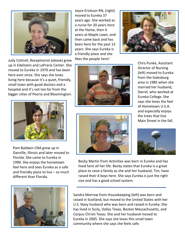

Judy Cottrell, Receptionist (above) grew up in Edelstein and LaPrarie Center. She moved to Eureka in 1970 and has been here ever since. She says she loves living here because it's a quiet, friendly, small town with good doctors and a hospital and it's not too far from the bigger cities of Peoria and Bloomington.



Pam Baldwin CNA grew up in Danville, Illinois and later moved to Florida. She came to Eureka in 1990. She enjoys the hometown feel here and sees Eureka as a safe and friendly place to live – so much different than Florida.



Joyce Erickson RN, (right) moved to Eureka 37 years ago. She worked as a nurse for 20 years here at the Home, then 4 years at Maple Lawn, and then came back and has been here for the past 13 years. She says Eureka is a friendly place and she likes the people here!





Chris Punke, Assistant Director of Nursing (left) moved to Eureka from the Galesburg area in 1985 when she married her husband, Darrel, who worked at Eureka College. She says she loves the feel of Hometown U.S.A. and especially enjoys the trees that line Main Street in the fall.



Becky Martin from Activities was born in Eureka and has lived here all her life. Becky states that Eureka is a great place to raise a family as she and her husband, Tim, have raised their 4 boys here. She says Eureka is just the right size and has a good school system.

Sandra Morrow from Housekeeping (left) was born and raised in Scotland, but moved to the United States with her U.S. Navy husband who was born and raised in Eureka. She has lived in Sicily, Dallas Texas, Boston Massachusetts, and Corpus Christi Texas. She and her husband moved to Eureka in 2005. She says she loves this small town community where she says she feels safe.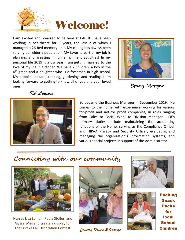

I am excited and honored to be here at EACH! I have been working in healthcare for 8 years, the last 2 of which I managed a 26 bed memory unit. My calling has always been serving our elderly population. My favorite part of my job is planning and assisting in fun enrichment activities! In my personal life 2019 is a big year, I am getting married to the love of my life in October. We have 2 children, a boy in the 4<sup>th</sup> grade and a daughter who is a freshman in high school. My hobbies include; cooking, gardening, and reading. I am looking forward to getting to know all of you and your loved ones. **Stacy Morger**



*Ed Leman*



Ed became the Business Manager in September 2019. He comes to the home with experience working for various for-profit and not-for profit companies, in roles ranging from Sales to Social Work to Division Manager. Ed's primary duties include maintaining the accounting functions of the Home, serving as the Compliance Officer and HIPAA Privacy and Security Officer, evaluating and managing the organization's information systems, and various special projects in support of the Administrator.

### **Connecting with our community**



Nurses Lisa Leman, Paula Stoller, and Alyssa Wiegand create a display for the Eureka Fall Decoration Contest







Packing Snack Packs for local **School**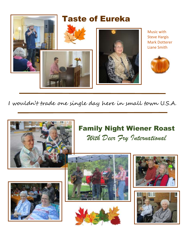

I wouldn't trade one single day here in small town U.S.A.